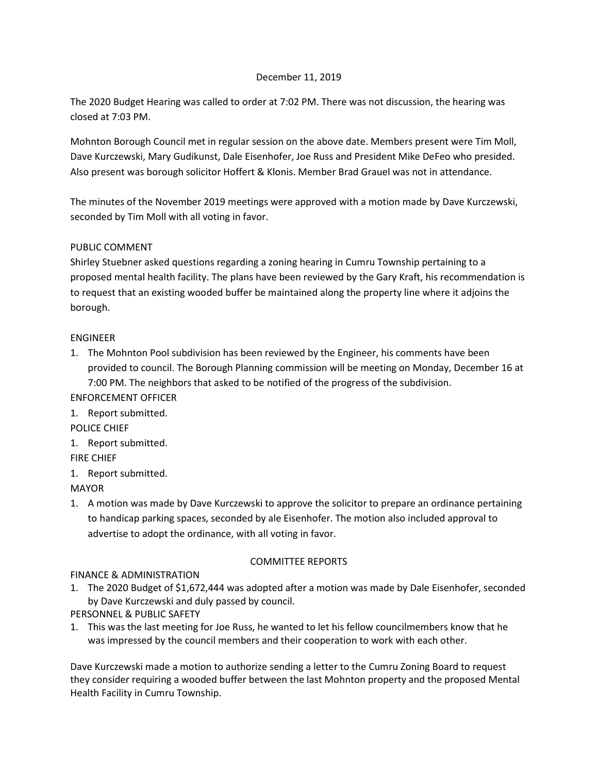#### December 11, 2019

The 2020 Budget Hearing was called to order at 7:02 PM. There was not discussion, the hearing was closed at 7:03 PM.

Mohnton Borough Council met in regular session on the above date. Members present were Tim Moll, Dave Kurczewski, Mary Gudikunst, Dale Eisenhofer, Joe Russ and President Mike DeFeo who presided. Also present was borough solicitor Hoffert & Klonis. Member Brad Grauel was not in attendance.

The minutes of the November 2019 meetings were approved with a motion made by Dave Kurczewski, seconded by Tim Moll with all voting in favor.

#### PUBLIC COMMENT

Shirley Stuebner asked questions regarding a zoning hearing in Cumru Township pertaining to a proposed mental health facility. The plans have been reviewed by the Gary Kraft, his recommendation is to request that an existing wooded buffer be maintained along the property line where it adjoins the borough.

#### ENGINEER

1. The Mohnton Pool subdivision has been reviewed by the Engineer, his comments have been provided to council. The Borough Planning commission will be meeting on Monday, December 16 at 7:00 PM. The neighbors that asked to be notified of the progress of the subdivision.

ENFORCEMENT OFFICER

1. Report submitted.

POLICE CHIEF

1. Report submitted.

# FIRE CHIEF

1. Report submitted.

# MAYOR

1. A motion was made by Dave Kurczewski to approve the solicitor to prepare an ordinance pertaining to handicap parking spaces, seconded by ale Eisenhofer. The motion also included approval to advertise to adopt the ordinance, with all voting in favor.

# COMMITTEE REPORTS

# FINANCE & ADMINISTRATION

1. The 2020 Budget of \$1,672,444 was adopted after a motion was made by Dale Eisenhofer, seconded by Dave Kurczewski and duly passed by council.

# PERSONNEL & PUBLIC SAFETY

1. This was the last meeting for Joe Russ, he wanted to let his fellow councilmembers know that he was impressed by the council members and their cooperation to work with each other.

Dave Kurczewski made a motion to authorize sending a letter to the Cumru Zoning Board to request they consider requiring a wooded buffer between the last Mohnton property and the proposed Mental Health Facility in Cumru Township.